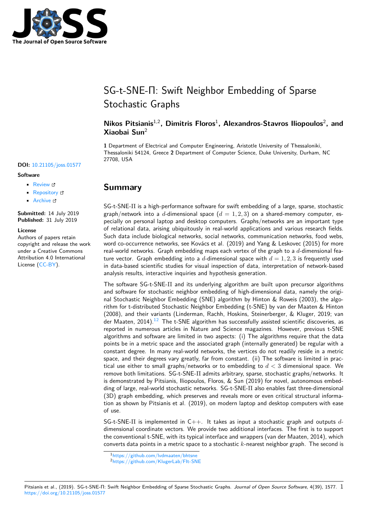

# SG-t-SNE-Π: Swift Neighbor Embedding of Sparse Stochastic Graphs

## **Nikos Pitsianis**1,2**, Dimitris Floros**<sup>1</sup> **, Alexandros-Stavros Iliopoulos**<sup>2</sup> **, and Xiaobai Sun**<sup>2</sup>

**1** Department of Electrical and Computer Engineering, Aristotle University of Thessaloniki, Thessaloniki 54124, Greece **2** Department of Computer Science, Duke University, Durham, NC 27708, USA

# **Summary**

SG-t-SNE-Π is a high-performance software for swift embedding of a large, sparse, stochastic graph/network into a d-dimensional space  $(d = 1, 2, 3)$  on a shared-memory computer, especially on personal laptop and desktop computers. Graphs/networks are an important type of relational data, arising ubiquitously in real-world applications and various research fields. Such data include biological networks, social networks, communication networks, food webs, word co-occurrence networks, see Kovács et al. (2019) and Yang & Leskovec (2015) for more real-world networks. Graph embedding maps each vertex of the graph to a *d*-dimensional feature vector. Graph embedding into a d-dimensional space with  $d = 1, 2, 3$  is frequently used in data-based scientific studies for visual inspection of data, interpretation of network-based analysis results, interactive inquiries and hypothesis generation.

The software SG-t-SNE-Π and its underlying algorithm are built upon precursor algorithms and software for stochastic neighbor embedding of high-dimensional data, namely the original Stochastic Neighbor Embedding (SNE) algorithm by Hinton & Roweis (2003), the algorithm for t-distributed Stochastic Neighbor Embedding (t-SNE) by van der Maaten & Hinton (2008), and their variants (Linderman, Rachh, Hoskins, Steinerberger, & Kluger, 2019; van der Maaten, 2014).<sup>12</sup> The t-SNE algorithm has successfully assisted scientific discoveries, as reported in numerous articles in Nature and Science magazines. However, previous t-SNE algorithms and software are limited in two aspects: (i) The algorithms require that the data points be in a metric space and the associated graph (internally generated) be regular with a constant degree. I[n](#page-0-0) [m](#page-0-1)any real-world networks, the vertices do not readily reside in a metric space, and their degrees vary greatly, far from constant. (ii) The software is limited in practical use either to small graphs/networks or to embedding to *d <* 3 dimensional space. We remove both limitations. SG-t-SNE-Π admits arbitrary, sparse, stochastic graphs/networks. It is demonstrated by Pitsianis, Iliopoulos, Floros, & Sun (2019) for novel, autonomous embedding of large, real-world stochastic networks. SG-t-SNE-Π also enables fast three-dimensional (3D) graph embedding, which preserves and reveals more or even critical structural information as shown by Pitsianis et al. (2019), on modern laptop and desktop computers with ease of use.

SG-t-SNE-Π is implemented in C++. It takes as input a stochastic graph and outputs *d*dimensional coordinate vectors. We provide two additional interfaces. The first is to support the conventional t-SNE, with its typical interface and wrappers (van der Maaten, 2014), which converts data points in a metric space to a stochastic *k*-nearest neighbor graph. The second is

### Pitsianis et al., (2019). SG-t-SNE-Π: S[wift Neighbor Embedding of Sparse Sto](https://github.com/lvdmaaten/bhtsne)[ch](https://github.com/KlugerLab/FIt-SNE)astic Graphs. Journal of Open Source Software, 4(39), 1577. 1 https://doi.org/10.21105/joss.01577

### **DOI:** 10.21105/joss.01577

### **Software**

- Review C
- [Repository](https://doi.org/10.21105/joss.01577) &
- Archive

**Subm[itted:](https://github.com/openjournals/joss-reviews/issues/1577)** 14 July 2019 **Published:** [31 Ju](https://github.com/fcdimitr/sgtsnepi)ly 2019

#### **Licen[se](https://doi.org/10.5281/zenodo.3355679)**

Authors of papers retain copyright and release the work under a Creative Commons Attribution 4.0 International License (CC-BY).

<sup>1</sup>https://github.com/lvdmaaten/bhtsne

<span id="page-0-1"></span><span id="page-0-0"></span><sup>2</sup>https://github.com/KlugerLab/FIt-SNE